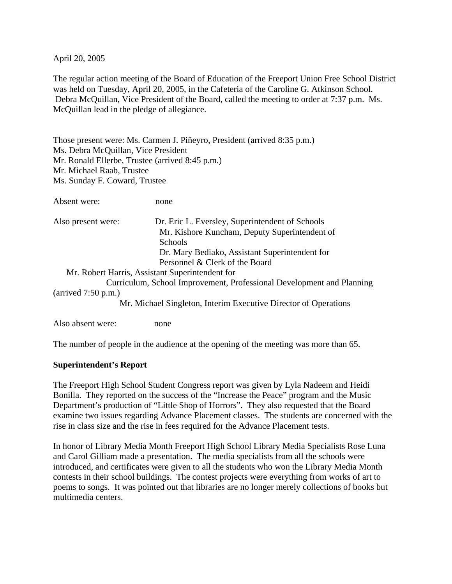April 20, 2005

The regular action meeting of the Board of Education of the Freeport Union Free School District was held on Tuesday, April 20, 2005, in the Cafeteria of the Caroline G. Atkinson School. Debra McQuillan, Vice President of the Board, called the meeting to order at 7:37 p.m. Ms. McQuillan lead in the pledge of allegiance.

Those present were: Ms. Carmen J. Piñeyro, President (arrived 8:35 p.m.) Ms. Debra McQuillan, Vice President Mr. Ronald Ellerbe, Trustee (arrived 8:45 p.m.) Mr. Michael Raab, Trustee Ms. Sunday F. Coward, Trustee

Absent were: none

| Also present were:                       | Dr. Eric L. Eversley, Superintendent of Schools                                                                                                                                                                                                                                                                                    |
|------------------------------------------|------------------------------------------------------------------------------------------------------------------------------------------------------------------------------------------------------------------------------------------------------------------------------------------------------------------------------------|
|                                          | Mr. Kishore Kuncham, Deputy Superintendent of                                                                                                                                                                                                                                                                                      |
|                                          | <b>Schools</b>                                                                                                                                                                                                                                                                                                                     |
|                                          | Dr. Mary Bediako, Assistant Superintendent for                                                                                                                                                                                                                                                                                     |
|                                          | Personnel & Clerk of the Board                                                                                                                                                                                                                                                                                                     |
|                                          | Mr. Robert Harris, Assistant Superintendent for                                                                                                                                                                                                                                                                                    |
|                                          | Curriculum, School Improvement, Professional Development and Planning                                                                                                                                                                                                                                                              |
| $\frac{50 \text{ m}}{2.50 \text{ p.m.}}$ |                                                                                                                                                                                                                                                                                                                                    |
|                                          | $\mathbf{M}$ $\mathbf{M}$ $\mathbf{1}$ $\mathbf{M}$ $\mathbf{1}$ $\mathbf{M}$ $\mathbf{1}$ $\mathbf{M}$ $\mathbf{1}$ $\mathbf{M}$ $\mathbf{1}$ $\mathbf{M}$ $\mathbf{1}$ $\mathbf{M}$ $\mathbf{1}$ $\mathbf{M}$ $\mathbf{1}$ $\mathbf{M}$ $\mathbf{1}$ $\mathbf{M}$ $\mathbf{1}$ $\mathbf{M}$ $\mathbf{1}$ $\mathbf{M}$ $\mathbf{$ |

Mr. Michael Singleton, Interim Executive Director of Operations

Also absent were: none

The number of people in the audience at the opening of the meeting was more than 65.

#### **Superintendent's Report**

The Freeport High School Student Congress report was given by Lyla Nadeem and Heidi Bonilla. They reported on the success of the "Increase the Peace" program and the Music Department's production of "Little Shop of Horrors". They also requested that the Board examine two issues regarding Advance Placement classes. The students are concerned with the rise in class size and the rise in fees required for the Advance Placement tests.

In honor of Library Media Month Freeport High School Library Media Specialists Rose Luna and Carol Gilliam made a presentation. The media specialists from all the schools were introduced, and certificates were given to all the students who won the Library Media Month contests in their school buildings. The contest projects were everything from works of art to poems to songs. It was pointed out that libraries are no longer merely collections of books but multimedia centers.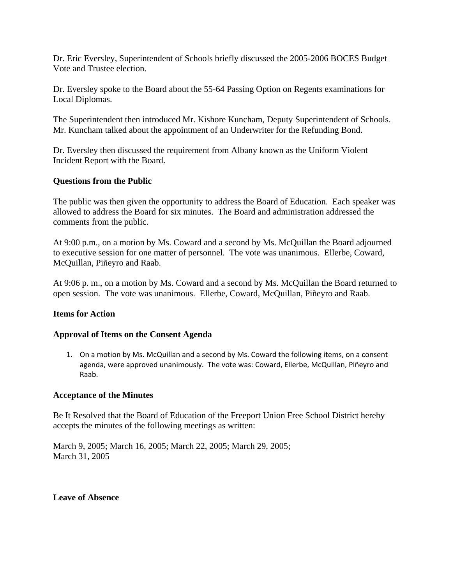Dr. Eric Eversley, Superintendent of Schools briefly discussed the 2005-2006 BOCES Budget Vote and Trustee election.

Dr. Eversley spoke to the Board about the 55-64 Passing Option on Regents examinations for Local Diplomas.

The Superintendent then introduced Mr. Kishore Kuncham, Deputy Superintendent of Schools. Mr. Kuncham talked about the appointment of an Underwriter for the Refunding Bond.

Dr. Eversley then discussed the requirement from Albany known as the Uniform Violent Incident Report with the Board.

#### **Questions from the Public**

The public was then given the opportunity to address the Board of Education. Each speaker was allowed to address the Board for six minutes. The Board and administration addressed the comments from the public.

At 9:00 p.m., on a motion by Ms. Coward and a second by Ms. McQuillan the Board adjourned to executive session for one matter of personnel. The vote was unanimous. Ellerbe, Coward, McQuillan, Piñeyro and Raab.

At 9:06 p. m., on a motion by Ms. Coward and a second by Ms. McQuillan the Board returned to open session. The vote was unanimous. Ellerbe, Coward, McQuillan, Piñeyro and Raab.

#### **Items for Action**

#### **Approval of Items on the Consent Agenda**

1. On a motion by Ms. McQuillan and a second by Ms. Coward the following items, on a consent agenda, were approved unanimously. The vote was: Coward, Ellerbe, McQuillan, Piñeyro and Raab.

#### **Acceptance of the Minutes**

Be It Resolved that the Board of Education of the Freeport Union Free School District hereby accepts the minutes of the following meetings as written:

March 9, 2005; March 16, 2005; March 22, 2005; March 29, 2005; March 31, 2005

#### **Leave of Absence**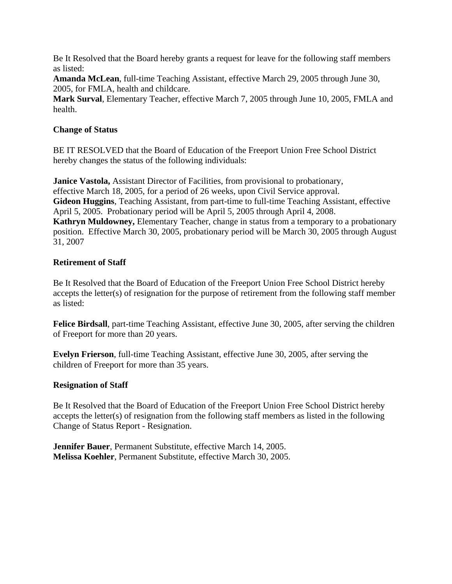Be It Resolved that the Board hereby grants a request for leave for the following staff members as listed:

**Amanda McLean**, full-time Teaching Assistant, effective March 29, 2005 through June 30, 2005, for FMLA, health and childcare.

**Mark Surval**, Elementary Teacher, effective March 7, 2005 through June 10, 2005, FMLA and health.

## **Change of Status**

BE IT RESOLVED that the Board of Education of the Freeport Union Free School District hereby changes the status of the following individuals:

**Janice Vastola,** Assistant Director of Facilities, from provisional to probationary, effective March 18, 2005, for a period of 26 weeks, upon Civil Service approval. **Gideon Huggins**, Teaching Assistant, from part-time to full-time Teaching Assistant, effective April 5, 2005. Probationary period will be April 5, 2005 through April 4, 2008. **Kathryn Muldowney,** Elementary Teacher, change in status from a temporary to a probationary position. Effective March 30, 2005, probationary period will be March 30, 2005 through August 31, 2007

## **Retirement of Staff**

Be It Resolved that the Board of Education of the Freeport Union Free School District hereby accepts the letter(s) of resignation for the purpose of retirement from the following staff member as listed:

**Felice Birdsall**, part-time Teaching Assistant, effective June 30, 2005, after serving the children of Freeport for more than 20 years.

**Evelyn Frierson**, full-time Teaching Assistant, effective June 30, 2005, after serving the children of Freeport for more than 35 years.

# **Resignation of Staff**

Be It Resolved that the Board of Education of the Freeport Union Free School District hereby accepts the letter(s) of resignation from the following staff members as listed in the following Change of Status Report - Resignation.

**Jennifer Bauer**, Permanent Substitute, effective March 14, 2005. **Melissa Koehler**, Permanent Substitute, effective March 30, 2005.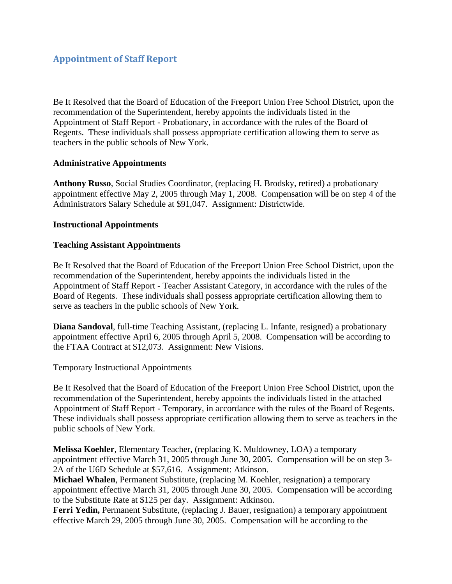Be It Resolved that the Board of Education of the Freeport Union Free School District, upon the recommendation of the Superintendent, hereby appoints the individuals listed in the Appointment of Staff Report - Probationary, in accordance with the rules of the Board of Regents. These individuals shall possess appropriate certification allowing them to serve as teachers in the public schools of New York.

## **Administrative Appointments**

**Anthony Russo**, Social Studies Coordinator, (replacing H. Brodsky, retired) a probationary appointment effective May 2, 2005 through May 1, 2008. Compensation will be on step 4 of the Administrators Salary Schedule at \$91,047. Assignment: Districtwide.

## **Instructional Appointments**

## **Teaching Assistant Appointments**

Be It Resolved that the Board of Education of the Freeport Union Free School District, upon the recommendation of the Superintendent, hereby appoints the individuals listed in the Appointment of Staff Report - Teacher Assistant Category, in accordance with the rules of the Board of Regents. These individuals shall possess appropriate certification allowing them to serve as teachers in the public schools of New York.

**Diana Sandoval**, full-time Teaching Assistant, (replacing L. Infante, resigned) a probationary appointment effective April 6, 2005 through April 5, 2008. Compensation will be according to the FTAA Contract at \$12,073. Assignment: New Visions.

Temporary Instructional Appointments

Be It Resolved that the Board of Education of the Freeport Union Free School District, upon the recommendation of the Superintendent, hereby appoints the individuals listed in the attached Appointment of Staff Report - Temporary, in accordance with the rules of the Board of Regents. These individuals shall possess appropriate certification allowing them to serve as teachers in the public schools of New York.

**Melissa Koehler**, Elementary Teacher, (replacing K. Muldowney, LOA) a temporary appointment effective March 31, 2005 through June 30, 2005. Compensation will be on step 3- 2A of the U6D Schedule at \$57,616. Assignment: Atkinson.

**Michael Whalen**, Permanent Substitute, (replacing M. Koehler, resignation) a temporary appointment effective March 31, 2005 through June 30, 2005. Compensation will be according to the Substitute Rate at \$125 per day. Assignment: Atkinson.

**Ferri Yedin,** Permanent Substitute, (replacing J. Bauer, resignation) a temporary appointment effective March 29, 2005 through June 30, 2005. Compensation will be according to the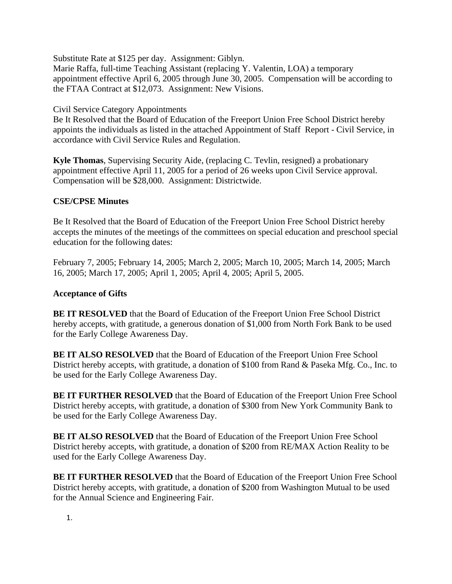Substitute Rate at \$125 per day. Assignment: Giblyn. Marie Raffa, full-time Teaching Assistant (replacing Y. Valentin, LOA) a temporary appointment effective April 6, 2005 through June 30, 2005. Compensation will be according to the FTAA Contract at \$12,073. Assignment: New Visions.

## Civil Service Category Appointments

Be It Resolved that the Board of Education of the Freeport Union Free School District hereby appoints the individuals as listed in the attached Appointment of Staff Report - Civil Service, in accordance with Civil Service Rules and Regulation.

**Kyle Thomas**, Supervising Security Aide, (replacing C. Tevlin, resigned) a probationary appointment effective April 11, 2005 for a period of 26 weeks upon Civil Service approval. Compensation will be \$28,000. Assignment: Districtwide.

## **CSE/CPSE Minutes**

Be It Resolved that the Board of Education of the Freeport Union Free School District hereby accepts the minutes of the meetings of the committees on special education and preschool special education for the following dates:

February 7, 2005; February 14, 2005; March 2, 2005; March 10, 2005; March 14, 2005; March 16, 2005; March 17, 2005; April 1, 2005; April 4, 2005; April 5, 2005.

## **Acceptance of Gifts**

**BE IT RESOLVED** that the Board of Education of the Freeport Union Free School District hereby accepts, with gratitude, a generous donation of \$1,000 from North Fork Bank to be used for the Early College Awareness Day.

**BE IT ALSO RESOLVED** that the Board of Education of the Freeport Union Free School District hereby accepts, with gratitude, a donation of \$100 from Rand & Paseka Mfg. Co., Inc. to be used for the Early College Awareness Day.

**BE IT FURTHER RESOLVED** that the Board of Education of the Freeport Union Free School District hereby accepts, with gratitude, a donation of \$300 from New York Community Bank to be used for the Early College Awareness Day.

**BE IT ALSO RESOLVED** that the Board of Education of the Freeport Union Free School District hereby accepts, with gratitude, a donation of \$200 from RE/MAX Action Reality to be used for the Early College Awareness Day.

**BE IT FURTHER RESOLVED** that the Board of Education of the Freeport Union Free School District hereby accepts, with gratitude, a donation of \$200 from Washington Mutual to be used for the Annual Science and Engineering Fair.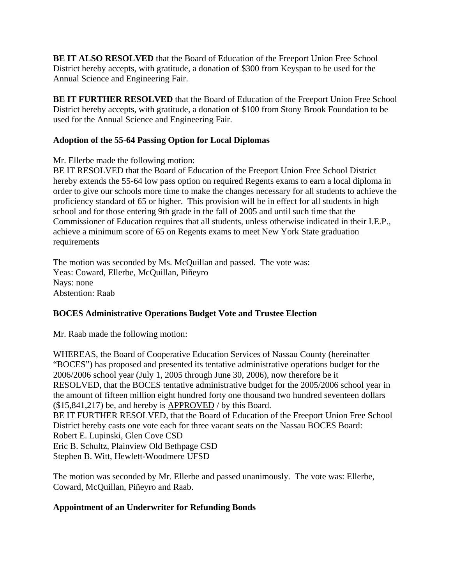**BE IT ALSO RESOLVED** that the Board of Education of the Freeport Union Free School District hereby accepts, with gratitude, a donation of \$300 from Keyspan to be used for the Annual Science and Engineering Fair.

**BE IT FURTHER RESOLVED** that the Board of Education of the Freeport Union Free School District hereby accepts, with gratitude, a donation of \$100 from Stony Brook Foundation to be used for the Annual Science and Engineering Fair.

# **Adoption of the 55-64 Passing Option for Local Diplomas**

Mr. Ellerbe made the following motion:

BE IT RESOLVED that the Board of Education of the Freeport Union Free School District hereby extends the 55-64 low pass option on required Regents exams to earn a local diploma in order to give our schools more time to make the changes necessary for all students to achieve the proficiency standard of 65 or higher. This provision will be in effect for all students in high school and for those entering 9th grade in the fall of 2005 and until such time that the Commissioner of Education requires that all students, unless otherwise indicated in their I.E.P., achieve a minimum score of 65 on Regents exams to meet New York State graduation requirements

The motion was seconded by Ms. McQuillan and passed. The vote was: Yeas: Coward, Ellerbe, McQuillan, Piñeyro Nays: none Abstention: Raab

# **BOCES Administrative Operations Budget Vote and Trustee Election**

Mr. Raab made the following motion:

WHEREAS, the Board of Cooperative Education Services of Nassau County (hereinafter "BOCES") has proposed and presented its tentative administrative operations budget for the 2006/2006 school year (July 1, 2005 through June 30, 2006), now therefore be it RESOLVED, that the BOCES tentative administrative budget for the 2005/2006 school year in the amount of fifteen million eight hundred forty one thousand two hundred seventeen dollars (\$15,841,217) be, and hereby is APPROVED / by this Board. BE IT FURTHER RESOLVED, that the Board of Education of the Freeport Union Free School District hereby casts one vote each for three vacant seats on the Nassau BOCES Board: Robert E. Lupinski, Glen Cove CSD Eric B. Schultz, Plainview Old Bethpage CSD Stephen B. Witt, Hewlett-Woodmere UFSD

The motion was seconded by Mr. Ellerbe and passed unanimously. The vote was: Ellerbe, Coward, McQuillan, Piñeyro and Raab.

# **Appointment of an Underwriter for Refunding Bonds**